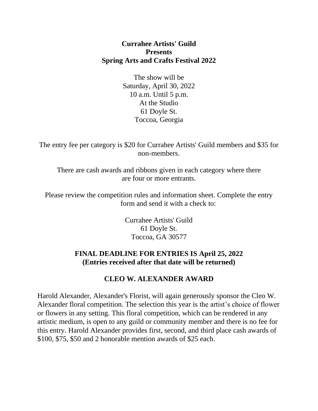#### **Currahee Artists' Guild Presents Spring Arts and Crafts Festival 2022**

The show will be Saturday, April 30, 2022 10 a.m. Until 5 p.m. At the Studio 61 Doyle St. Toccoa, Georgia

The entry fee per category is \$20 for Currahee Artists' Guild members and \$35 for non-members.

There are cash awards and ribbons given in each category where there are four or more entrants.

Please review the competition rules and information sheet. Complete the entry form and send it with a check to:

> Currahee Artists' Guild 61 Doyle St. Toccoa, GA 30577

#### **FINAL DEADLINE FOR ENTRIES IS April 25, 2022 (Entries received after that date will be returned)**

#### **CLEO W. ALEXANDER AWARD**

Harold Alexander, Alexander's Florist, will again generously sponsor the Cleo W. Alexander floral competition. The selection this year is the artist's choice of flower or flowers in any setting. This floral competition, which can be rendered in any artistic medium, is open to any guild or community member and there is no fee for this entry. Harold Alexander provides first, second, and third place cash awards of \$100, \$75, \$50 and 2 honorable mention awards of \$25 each.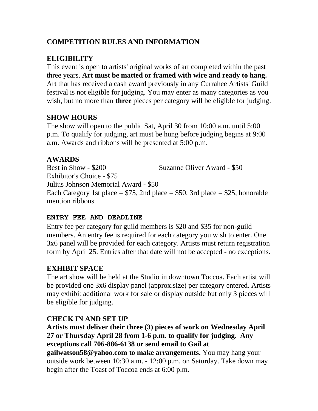### **COMPETITION RULES AND INFORMATION**

## **ELIGIBILITY**

This event is open to artists' original works of art completed within the past three years. **Art must be matted or framed with wire and ready to hang.** Art that has received a cash award previously in any Currahee Artists' Guild festival is not eligible for judging. You may enter as many categories as you wish, but no more than **three** pieces per category will be eligible for judging.

## **SHOW HOURS**

The show will open to the public Sat, April 30 from 10:00 a.m. until 5:00 p.m. To qualify for judging, art must be hung before judging begins at 9:00 a.m. Awards and ribbons will be presented at 5:00 p.m.

### **AWARDS**

Best in Show - \$200 Suzanne Oliver Award - \$50 Exhibitor's Choice - \$75 Julius Johnson Memorial Award - \$50 Each Category 1st place =  $$75$ , 2nd place =  $$50$ , 3rd place =  $$25$ , honorable mention ribbons

#### **ENTRY FEE AND DEADLINE**

Entry fee per category for guild members is \$20 and \$35 for non-guild members. An entry fee is required for each category you wish to enter. One 3x6 panel will be provided for each category. Artists must return registration form by April 25. Entries after that date will not be accepted - no exceptions.

### **EXHIBIT SPACE**

The art show will be held at the Studio in downtown Toccoa. Each artist will be provided one 3x6 display panel (approx.size) per category entered. Artists may exhibit additional work for sale or display outside but only 3 pieces will be eligible for judging.

### **CHECK IN AND SET UP**

**Artists must deliver their three (3) pieces of work on Wednesday April 27 or Thursday April 28 from 1-6 p.m. to qualify for judging. Any exceptions call 706-886-6138 or send email to Gail at gailwatson58@yahoo.com to make arrangements.** You may hang your outside work between 10:30 a.m. - 12:00 p.m. on Saturday. Take down may begin after the Toast of Toccoa ends at 6:00 p.m.